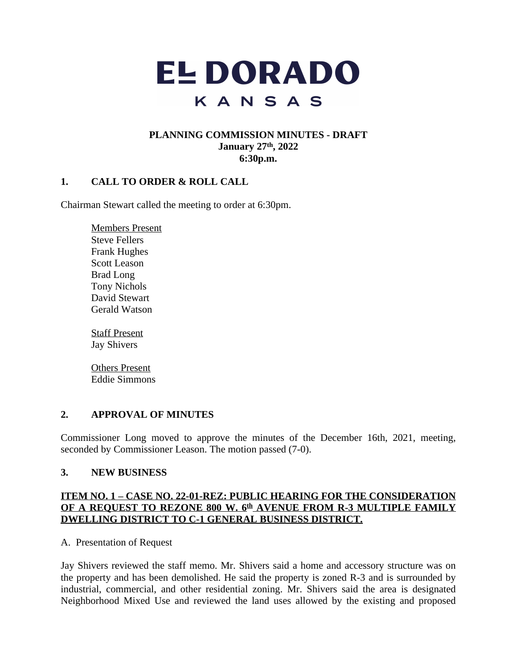

## **PLANNING COMMISSION MINUTES - DRAFT January 27th, 2022 6:30p.m.**

## **1. CALL TO ORDER & ROLL CALL**

Chairman Stewart called the meeting to order at 6:30pm.

Members Present Steve Fellers Frank Hughes Scott Leason Brad Long Tony Nichols David Stewart Gerald Watson

Staff Present Jay Shivers

Others Present Eddie Simmons

#### **2. APPROVAL OF MINUTES**

Commissioner Long moved to approve the minutes of the December 16th, 2021, meeting, seconded by Commissioner Leason. The motion passed (7-0).

#### **3. NEW BUSINESS**

## **ITEM NO. 1 – CASE NO. 22-01-REZ: PUBLIC HEARING FOR THE CONSIDERATION OF A REQUEST TO REZONE 800 W. 6 th AVENUE FROM R-3 MULTIPLE FAMILY DWELLING DISTRICT TO C-1 GENERAL BUSINESS DISTRICT.**

A. Presentation of Request

Jay Shivers reviewed the staff memo. Mr. Shivers said a home and accessory structure was on the property and has been demolished. He said the property is zoned R-3 and is surrounded by industrial, commercial, and other residential zoning. Mr. Shivers said the area is designated Neighborhood Mixed Use and reviewed the land uses allowed by the existing and proposed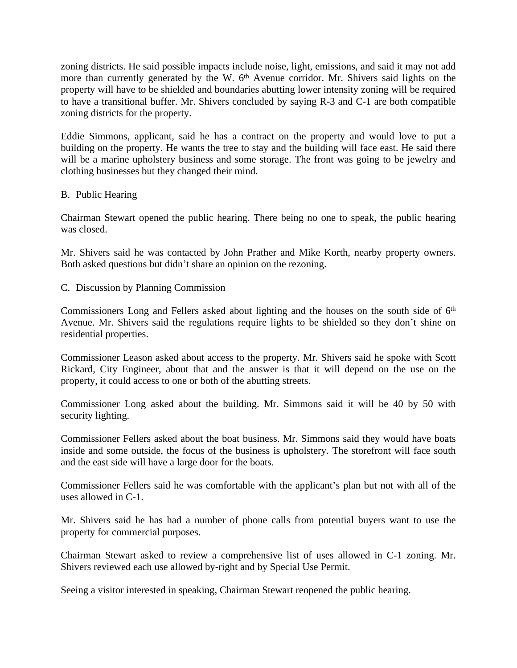zoning districts. He said possible impacts include noise, light, emissions, and said it may not add more than currently generated by the W. 6<sup>th</sup> Avenue corridor. Mr. Shivers said lights on the property will have to be shielded and boundaries abutting lower intensity zoning will be required to have a transitional buffer. Mr. Shivers concluded by saying R-3 and C-1 are both compatible zoning districts for the property.

Eddie Simmons, applicant, said he has a contract on the property and would love to put a building on the property. He wants the tree to stay and the building will face east. He said there will be a marine upholstery business and some storage. The front was going to be jewelry and clothing businesses but they changed their mind.

## B. Public Hearing

Chairman Stewart opened the public hearing. There being no one to speak, the public hearing was closed.

Mr. Shivers said he was contacted by John Prather and Mike Korth, nearby property owners. Both asked questions but didn't share an opinion on the rezoning.

C. Discussion by Planning Commission

Commissioners Long and Fellers asked about lighting and the houses on the south side of 6<sup>th</sup> Avenue. Mr. Shivers said the regulations require lights to be shielded so they don't shine on residential properties.

Commissioner Leason asked about access to the property. Mr. Shivers said he spoke with Scott Rickard, City Engineer, about that and the answer is that it will depend on the use on the property, it could access to one or both of the abutting streets.

Commissioner Long asked about the building. Mr. Simmons said it will be 40 by 50 with security lighting.

Commissioner Fellers asked about the boat business. Mr. Simmons said they would have boats inside and some outside, the focus of the business is upholstery. The storefront will face south and the east side will have a large door for the boats.

Commissioner Fellers said he was comfortable with the applicant's plan but not with all of the uses allowed in C-1.

Mr. Shivers said he has had a number of phone calls from potential buyers want to use the property for commercial purposes.

Chairman Stewart asked to review a comprehensive list of uses allowed in C-1 zoning. Mr. Shivers reviewed each use allowed by-right and by Special Use Permit.

Seeing a visitor interested in speaking, Chairman Stewart reopened the public hearing.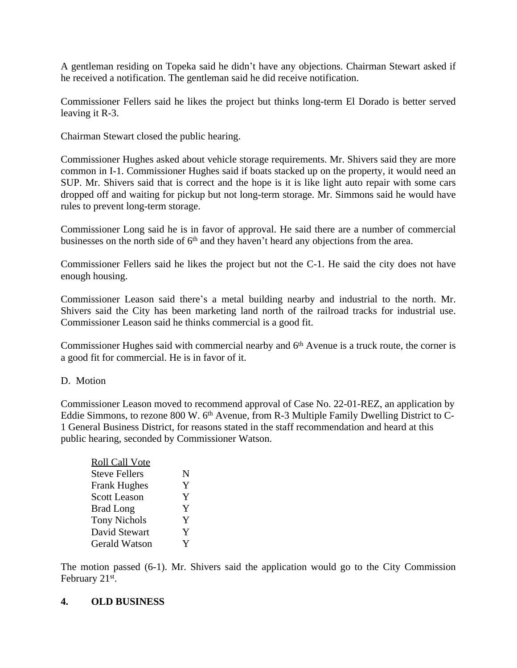A gentleman residing on Topeka said he didn't have any objections. Chairman Stewart asked if he received a notification. The gentleman said he did receive notification.

Commissioner Fellers said he likes the project but thinks long-term El Dorado is better served leaving it R-3.

Chairman Stewart closed the public hearing.

Commissioner Hughes asked about vehicle storage requirements. Mr. Shivers said they are more common in I-1. Commissioner Hughes said if boats stacked up on the property, it would need an SUP. Mr. Shivers said that is correct and the hope is it is like light auto repair with some cars dropped off and waiting for pickup but not long-term storage. Mr. Simmons said he would have rules to prevent long-term storage.

Commissioner Long said he is in favor of approval. He said there are a number of commercial businesses on the north side of  $6<sup>th</sup>$  and they haven't heard any objections from the area.

Commissioner Fellers said he likes the project but not the C-1. He said the city does not have enough housing.

Commissioner Leason said there's a metal building nearby and industrial to the north. Mr. Shivers said the City has been marketing land north of the railroad tracks for industrial use. Commissioner Leason said he thinks commercial is a good fit.

Commissioner Hughes said with commercial nearby and 6<sup>th</sup> Avenue is a truck route, the corner is a good fit for commercial. He is in favor of it.

#### D. Motion

Commissioner Leason moved to recommend approval of Case No. 22-01-REZ, an application by Eddie Simmons, to rezone 800 W. 6<sup>th</sup> Avenue, from R-3 Multiple Family Dwelling District to C-1 General Business District, for reasons stated in the staff recommendation and heard at this public hearing, seconded by Commissioner Watson.

| N |
|---|
|   |
| Y |
| Y |
| Y |
| Y |
| Y |
| V |
|   |

The motion passed (6-1). Mr. Shivers said the application would go to the City Commission February 21<sup>st</sup>.

#### **4. OLD BUSINESS**